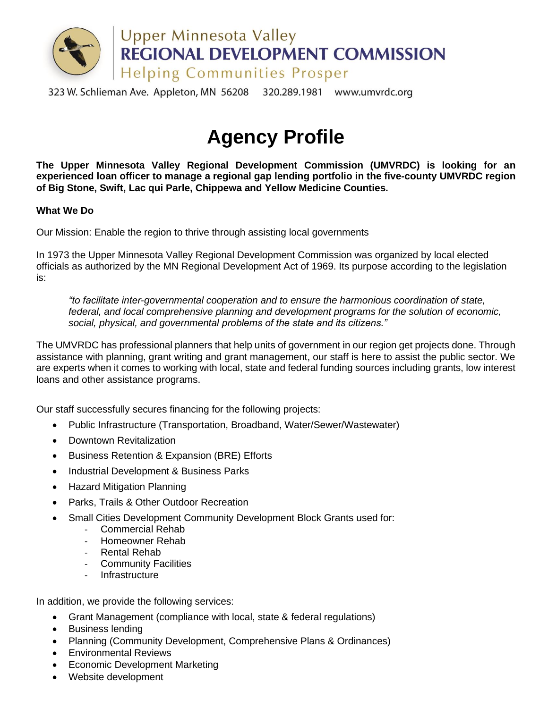

323 W. Schlieman Ave. Appleton, MN 56208 320.289.1981 www.umvrdc.org

# **Agency Profile**

**The Upper Minnesota Valley Regional Development Commission (UMVRDC) is looking for an experienced loan officer to manage a regional gap lending portfolio in the five-county UMVRDC region of Big Stone, Swift, Lac qui Parle, Chippewa and Yellow Medicine Counties.**

## **What We Do**

Our Mission: Enable the region to thrive through assisting local governments

In 1973 the Upper Minnesota Valley Regional Development Commission was organized by local elected officials as authorized by the MN Regional Development Act of 1969. Its purpose according to the legislation is:

*"to facilitate inter-governmental cooperation and to ensure the harmonious coordination of state, federal, and local comprehensive planning and development programs for the solution of economic, social, physical, and governmental problems of the state and its citizens."*

The UMVRDC has professional planners that help units of government in our region get projects done. Through assistance with planning, grant writing and grant management, our staff is here to assist the public sector. We are experts when it comes to working with local, state and federal funding sources including grants, low interest loans and other assistance programs.

Our staff successfully secures financing for the following projects:

- Public Infrastructure (Transportation, Broadband, Water/Sewer/Wastewater)
- Downtown Revitalization
- Business Retention & Expansion (BRE) Efforts
- Industrial Development & Business Parks
- Hazard Mitigation Planning
- Parks, Trails & Other Outdoor Recreation
- Small Cities Development Community Development Block Grants used for:
	- Commercial Rehab
	- Homeowner Rehab
	- Rental Rehab
	- Community Facilities
	- Infrastructure

In addition, we provide the following services:

- Grant Management (compliance with local, state & federal regulations)
- Business lending
- Planning (Community Development, Comprehensive Plans & Ordinances)
- Environmental Reviews
- Economic Development Marketing
- Website development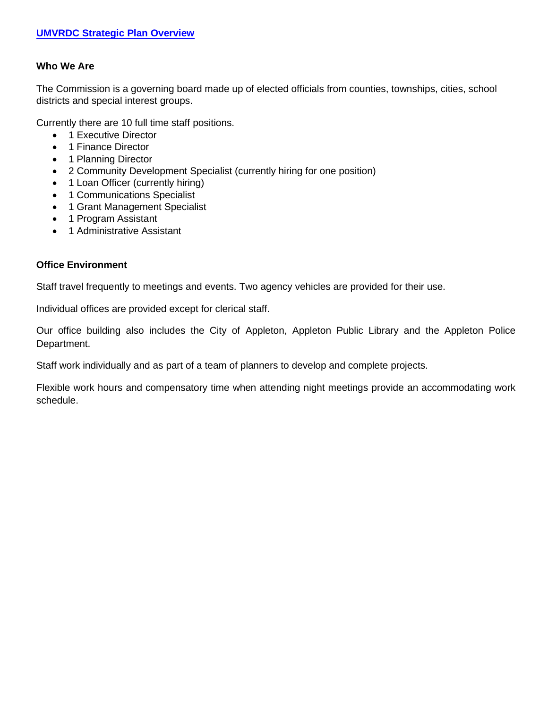## **Who We Are**

The Commission is a governing board made up of elected officials from counties, townships, cities, school districts and special interest groups.

Currently there are 10 full time staff positions.

- 1 Executive Director
- 1 Finance Director
- 1 Planning Director
- 2 Community Development Specialist (currently hiring for one position)
- 1 Loan Officer (currently hiring)
- 1 Communications Specialist
- 1 Grant Management Specialist
- 1 Program Assistant
- 1 Administrative Assistant

## **Office Environment**

Staff travel frequently to meetings and events. Two agency vehicles are provided for their use.

Individual offices are provided except for clerical staff.

Our office building also includes the City of Appleton, Appleton Public Library and the Appleton Police Department.

Staff work individually and as part of a team of planners to develop and complete projects.

Flexible work hours and compensatory time when attending night meetings provide an accommodating work schedule.